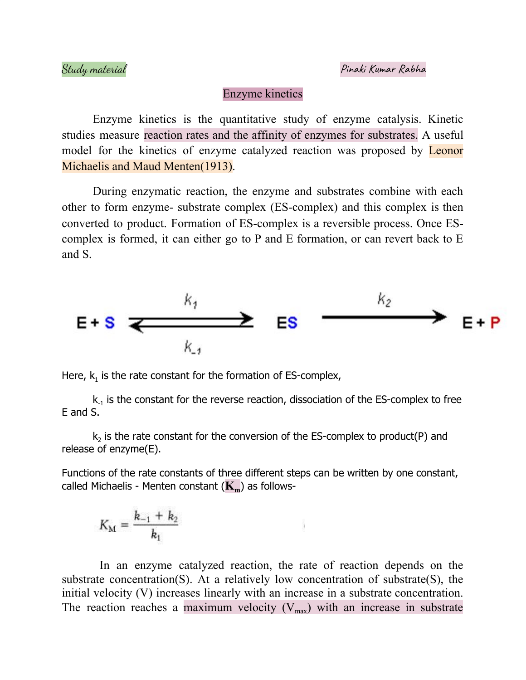## Enzyme kinetics

Enzyme kinetics is the quantitative study of enzyme catalysis. Kinetic studies measure reaction rates and the affinity of enzymes for substrates. A useful model for the kinetics of enzyme catalyzed reaction was proposed by **Leonor** Michaelis and Maud Menten(1913).

During enzymatic reaction, the enzyme and substrates combine with each other to form enzyme- substrate complex (ES-complex) and this complex is then converted to product. Formation of ES-complex is a reversible process. Once EScomplex is formed, it can either go to P and E formation, or can revert back to E and S.



Here,  $k_1$  is the rate constant for the formation of ES-complex,

 ${\sf k}_1$  is the constant for the reverse reaction, dissociation of the ES-complex to free E and S.

 $\mathsf{k}_2$  is the rate constant for the conversion of the ES-complex to product(P) and release of enzyme(E).

Functions of the rate constants of three different steps can be written by one constant, called Michaelis - Menten constant (**Km**) as follows-

$$
K_{\rm M} = \frac{k_{-1} + k_2}{k_1}
$$

In an enzyme catalyzed reaction, the rate of reaction depends on the substrate concentration(S). At a relatively low concentration of substrate(S), the initial velocity (V) increases linearly with an increase in a substrate concentration. The reaction reaches a maximum velocity  $(V_{max})$  with an increase in substrate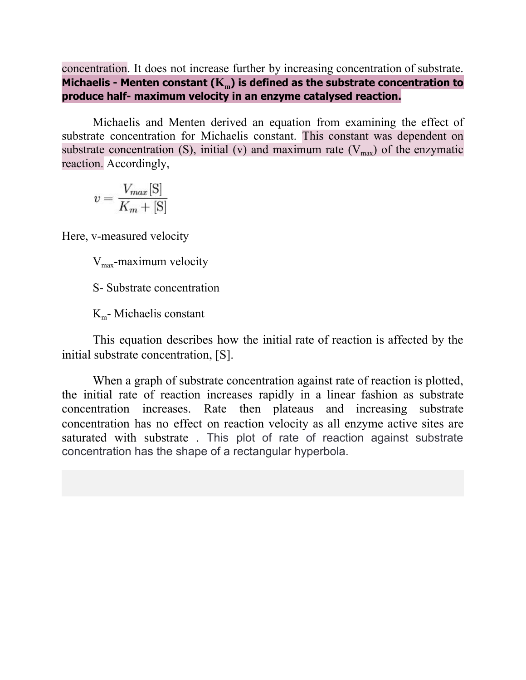concentration. It does not increase further by increasing concentration of substrate. **Michaelis - Menten constant (Km) is defined as the substrate concentration to produce half- maximum velocity in an enzyme catalysed reaction.**

Michaelis and Menten derived an equation from examining the effect of substrate concentration for Michaelis constant. This constant was dependent on substrate concentration (S), initial (v) and maximum rate  $(V_{max})$  of the enzymatic reaction. Accordingly,

$$
v = \frac{V_{max}[\mathbf{S}]}{K_m + [\mathbf{S}]}
$$

Here, v-measured velocity

 $V_{\text{max}}$ -maximum velocity

S- Substrate concentration

 $K<sub>m</sub>$ - Michaelis constant

This equation describes how the initial rate of reaction is affected by the initial substrate concentration, [S].

When a graph of substrate concentration against rate of reaction is plotted, the initial rate of reaction increases rapidly in a linear fashion as substrate concentration increases. Rate then plateaus and increasing substrate concentration has no effect on reaction velocity as all enzyme active sites are saturated with substrate . This plot of rate of reaction against substrate concentration has the shape of a rectangular hyperbola.